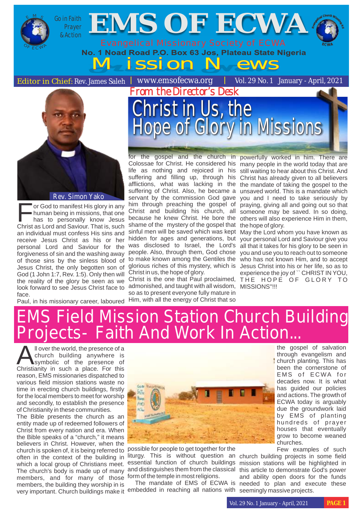



or God to manifest His glory in any<br>human being in missions, that one has to personally know Jesus Christ as Lord and Saviour. That is, such an individual must confess His sins and receive Jesus Christ as his or her personal Lord and Saviour for the forgiveness of sin and the washing away of those sins by the sinless blood of Jesus Christ, the only begotten son of God (1 John 1:7, Rev. 1:5). Only then will the reality of the glory be seen as we look forward to see Jesus Christ face to face.

Christ in Us, the Hope of Glory in Missions

shame of the mystery of the gospel that the hope of glory. sinful men will be saved which was kept May the Lord whom you have known as Christ in us, the hope of glory.

Christ is the one that Paul proclaimed, admonished, and taught with all wisdom, MISSIONS''!!! so as to present everyone fully mature in

for the gospel and the church in powerfully worked in him. There are Colossae for Christ. He considered his many people in the world today that are life as nothing and rejoiced in his still waiting to hear about this Christ. And suffering and filling up, through his Christ has already given to all believers afflictions, what was lacking in the the mandate of taking the gospel to the suffering of Christ. Also, he became a unsaved world. This is a mandate which servant by the commission God gave you and I need to take seriously by him through preaching the gospel of praying, giving all and going out so that Christ and building his church, all someone may be saved. In so doing, because he knew Christ. He bore the others will also experience Him in them,

hidden for ages and generations, but your personal Lord and Saviour give you was disclosed to Israel, the Lord's all that it takes for his glory to be seen in people. Also, through them, God chose you and use you to reach out to someone to make known among the Gentiles the who has not known Him, and to accept glorious riches of this mystery, which is Jesus Christ into his or her life, so as to experience the joy of `` CHRIST IN YOU, THE HOPE OF GLORY TO

Paul, in his missionary career, laboured Him, with all the energy of Christ that so

#### EMS Field Mission Station Church Building Projects- Faith And Work In Action...

**A** ll over the world, the presence of a<br>
symbolic of the presence of<br>
Christianity in such a place For this Christianity in such a place. For this reason, EMS missionaries dispatched to various field mission stations waste no time in erecting church buildings, firstly for the local members to meet for worship and secondly, to establish the presence of Christianity in these communities.

The Bible presents the church as an entity made up of redeemed followers of Christ from every nation and era. When the Bible speaks of a "church," it means believers in Christ. However, when the church is spoken of, it is being referred to often in the context of the building in which a local group of Christians meet. The church's body is made up of many members, and for many of those form of the temple in most religions. members, the building they worship in is very important. Church buildings make it embedded in reaching all nations with seemingly massive projects.



possible for people to get together for the liturgy. This is without question an church building projects in some field essential function of church buildings mission stations will be highlighted in and distinguishes them from the classical this article to demonstrate God's power

the gospel of salvation through evangelism and church planting. This has been the cornerstone of EMS of ECWA for decades now. It is what has guided our policies and actions. The growth of ECWA today is arguably due the groundwork laid by EMS of planting hundreds of prayer houses that eventually grow to become weaned churches.

Few examples of such

The mandate of EMS of ECWA is needed to plan and execute these and ability open doors for the funds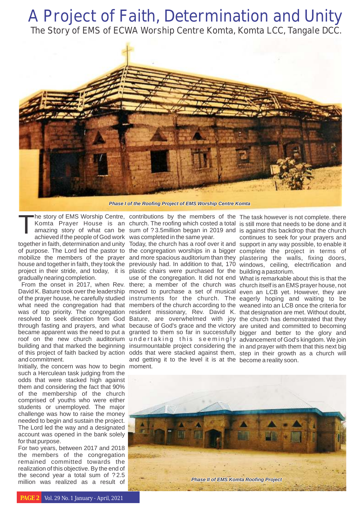## A Project of Faith, Determination and Unity

The Story of EMS of ECWA Worship Centre Komta, Komta LCC, Tangale DCC.



*Phase I of the Roofing Project of EMS Worship Centre Komta*

The story of EMS Worship Centre,<br>Komta Prayer House is an<br>amazing story of what can be<br>achieved if the people of God work achieved if the people of God work together in faith, determination and unity of purpose. The Lord led the pastor to the congregation worships in a bigger complete the project in terms of mobilize the members of the prayer and more spacious auditorium than they plastering the walls, fixing doors, house and together in faith, they took the previously had. In addition to that, 170 windows, ceiling, electrification and project in their stride, and today, it is plastic chairs were purchased for the building a pastorium. gradually nearing completion.

David K. Bature took over the leadership moved to purchase a set of musical even an LCB yet. However, they are of the prayer house, he carefully studied instruments for the church. The eagerly hoping and waiting to be what need the congregation had that members of the church according to the weaned into an LCB once the criteria for was of top priority. The congregation resolved to seek direction from God through fasting and prayers, and what became apparent was the need to put a roof on the new church auditorium building and that marked the beginning insurmountable project considering the in and prayer with them that this next big of this project of faith backed by action and commitment.

Initially, the concern was how to begin moment. such a Herculean task judging from the odds that were stacked high against them and considering the fact that 90% of the membership of the church comprised of youths who were either students or unemployed. The major challenge was how to raise the money needed to begin and sustain the project. The Lord led the way and a designated account was opened in the bank solely for that purpose.

For two years, between 2017 and 2018 the members of the congregation remained committed towards the realization of this objective. By the end of the second year a total sum of ?2.5 million was realized as a result of

he story of EMS Worship Centre, contributions by the members of the The task however is not complete. there was completed in the same year.

From the onset in 2017, when Rev. there; a member of the church was church itself is an EMS prayer house, not Today, the church has a roof over it and support in any way possible, to enable it use of the congregation. It did not end What is remarkable about this is that the resident missionary, Rev. David K. that designation are met. Without doubt, Bature, are overwhelmed with joy the church has demonstrated that they because of God's grace and the victory are united and committed to becoming granted to them so far in successfully bigger and better to the glory and undertaking this seemingly advancementofGod'skingdom.Wejoin odds that were stacked against them, step in their growth as a church will and getting it to the level it is at the become a reality soon.

church. The roofing which costed a total is still more that needs to be done and it sum of ?3.5million began in 2019 and is against this backdrop that the church continues to seek for your prayers and

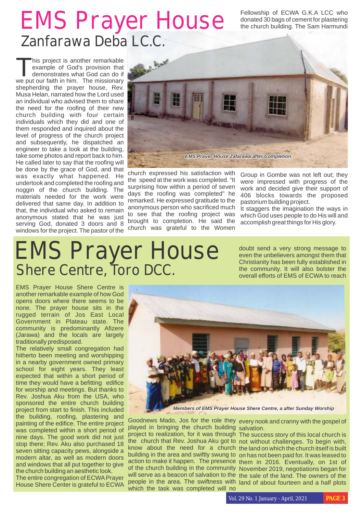# EMS Prayer House Tellowship of ECWA G.K.A LCC who Zanfarawa Deba LC.C.

donated 30 bags of cement for plastering the church building. The Sam Harmundi

This project is another remarkable<br>example of God's provision that demonstrates what God can do if we put our faith in him. The missionary shepherding the prayer house, Rev. Musa Helan, narrated how the Lord used an individual who advised them to share the need for the roofing of their new church building with four certain individuals which they did and one of them responded and inquired about the level of progress of the church project and subsequently, he dispatched an engineer to take a look at the building, take some photos and report back to him. He called later to say that the roofing will be done by the grace of God, and that was exactly what happened. He undertook and completed the roofing and noggin of the church building. The materials needed for the work were delivered that same day. In addition to that, the individual who asked to remain anonymous stated that he was just serving God, donated 3 doors and 8 windows for the project. The pastor of the



church expressed his satisfaction with the speed at the work was completed. "It surprising how within a period of seven days the roofing was completed" he remarked. He expressed gratitude to the anonymous person who sacrificed much to see that the roofing project was brought to completion. He said the church was grateful to the Women

Group in Gombe was not left out; they were impressed with progress of the work and decided give their support of 406 blocks towards the proposed pastorium building project.

It staggers the imagination the ways in which God uses people to do His will and accomplish great things for His glory.

## EMS Prayer House Shere Centre, Toro DCC.

doubt send a very strong message to even the unbelievers amongst them that Christianity has been fully established in the community. It will also bolster the overall efforts of EMS of ECWA to reach

EMS Prayer House Shere Centre is another remarkable example of how God opens doors where there seems to be none. The prayer house sits in the rugged terrain of Jos East Local Government in Plateau state. The community is predominantly Afizere (Jarawa) and the locals are largely traditionally predisposed.

The relatively small congregation had hitherto been meeting and worshipping in a nearby government owned primary school for eight years. They least expected that within a short period of time they would have a befitting edifice for worship and meetings. But thanks to Rev. Joshua Aku from the USA, who sponsored the entire church building project from start to finish. This included the building, roofing, plastering and painting of the edifice. The entire project was completed within a short period of nine days. The good work did not just stop there; Rev. Aku also purchased 18 seven sitting capacity pews, alongside a modern altar, as well as modern doors and windows that all put together to give the church building an aesthetic look.

The entire congregation of ECWA Prayer House Shere Center is grateful to ECWA



*Members of EMS Prayer House Shere Centre, a after Sunday Worship*

played in bringing the church building salvation. project to realization, for it was through The success story of this local church is which the task was completed will no

Goodnews Mado, Jos for the role they every nook and cranny with the gospel of

the church that Rev. Joshua Aku got to not without challenges. To begin with, know about the need for a church the land on which the church itself is built building in the area and swiftly swung to on has not been paid for. It was leased to action to make it happen. The presence them in 2016. Eventually, on 1st of of the church building in the community November 2019, negotiations began for will serve as a beacon of salvation to the the sale of the land. The owners of the people in the area. The swiftness with land of about fourteen and a half plots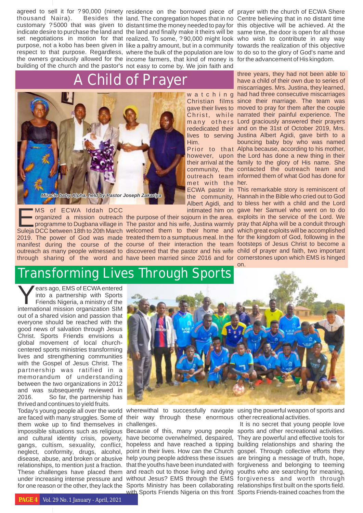thousand Naira).

the owners graciously allowed for the income farmers, that kind of money is for the advancement of His kingdom. building of the church and the pastor's not easy to come by. We join faith and

### A Child of Prayer



MS of ECWA Iddah DCC

Him.

met with the her.

agreed to sell it for ? 90,000 (ninety residence on the borrowed piece of prayer with the church of ECWA Shere customary ?5000 that was given to distant time the money needed to pay for this objective will be achieved. At the indicate desire to purchase the land and the land and finally make it theirs will be same time, the door is open for all those set negotiations in motion for that realized. To some, ? 90,000 might look who wish to contribute in any way purpose, not<sup>1</sup>a kobo has been given in like a paltry amount, but in a community towards the realization of this objective respect to that purpose. Regardless, where the bulk of the population are low to do so to the glory of God's name and land. The congregation hopes that in no Centre believing that in no distant time

> w a t c h i n g had had three consecutive miscarriages Christian films since their marriage. The team was gave their lives to moved to pray for them after the couple Christ, while narrated their painful experience. The many others Lord graciously answered their prayers rededicated their and on the 31st of October 2019, Mrs. lives to serving Justina Albert Agidi, gave birth to a Prior to that Alpha because, according to his mother, however, upon the Lord has done a new thing in their their arrival at the family to the glory of His name. She community, the contacted the outreach team and outreach team informed them of what God has done for three years, they had not been able to have a child of their own due to series of miscarriages. Mrs. Justina, they learned, bouncing baby boy who was named

MS of ECWA Iddah DCC intimated him on gave her Samuel who went on to do<br>organized a mission outreach the purpose of their sojourn in the area. exploits in the service of the Lord. We<br>programme to Dugbana village in The pas 2019. The power of God was made treated them to a sumptuous meal. In the for the kingdom of God, following in the manifest during the course of the course of their interaction the team footsteps of Jesus Christ to become a outreach as many people witnessed to discovered that the pastor and his wife child of prayer and faith, two important through sharing of the word and have been married since 2016 and for cornerstones upon which EMS is hinged ECWA pastor in This remarkable story is reminiscent of the community, Hannah in the Bible who cried out to God Albert Agidi, and to bless her with a child and the Lord intimated him on gave her Samuel who went on to do the purpose of their sojourn in the area. exploits in the service of the Lord. We The pastor and his wife, Justina warmly pray that Alpha will be a conduit through on.

#### Transforming Lives Through Sports

ears ago, EMS of ECWA entered<br>into a partnership with Sports Friends Nigeria, a ministry of the international mission organization SIM out of a shared vision and passion that everyone should be reached with the good news of salvation through Jesus Christ. Sports Friends envisions a global movement of local churchcentered sports ministries transforming lives and strengthening communities with the Gospel of Jesus Christ. The partnership was ratified in a memorandum of understanding between the two organizations in 2012 and was subsequently reviewed in 2016. So far, the partnership has thrived and continues to yield fruits.

are faced with many struggles. Some of their way through these enormous other recreational activities. them woke up to find themselves in challenges.



and cultural identity crisis, poverty, have become overwhelmed, despaired, They are powerful and effective tools for gangs, cultism, sexuality, conflict, hopeless and have reached a tipping building relationships and sharing the neglect, conformity, drugs, alcohol, point in their lives. How can the Church gospel. Through collective efforts they disease, abuse, and broken or abusive help young people address these issues are bringing a message of truth, hope, relationships, to mention just a fraction. that the youths have been inundated with forgiveness and belonging to teeming These challenges have placed them and reach out to those living and dying youths who are searching for meaning, under increasing intense pressure and without Jesus? EMS through the EMS forgiveness and worth through for one reason or the other, they lack the Sports Ministry has been collaborating relationships first built on the sports field.

Today's young people all over the world wherewithal to successfully navigate using the powerful weapon of sports and

impossible situations such as religious Because of this, many young people sports and other recreational activities. with Sports Friends Nigeria on this front Sports Friends-trained coaches from the It is no secret that young people love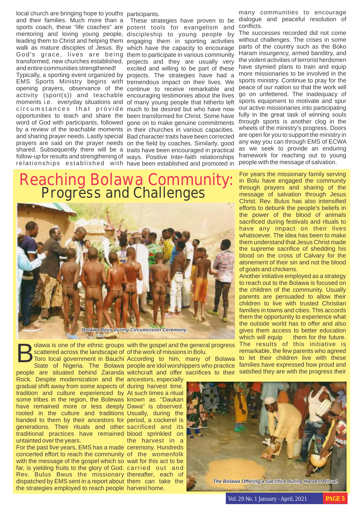local church are bringing hope to youths participants. and their families. Much more than a These strategies have proven to be sports coach, these "life coaches" are potent tools for evangelism and mentoring and loving young people, discipleship to young people by leading them to Christ and helping them engaging them in sporting activities walk as mature disciples of Jesus. By which have the capacity to encourage God's grace, lives are being them to participate in various community transformed, new churches established, projects and they are usually very and entire communities strengthened! Typically, a sporting event organized by projects. The strategies have had a EMS Sports Ministry begins with tremendous impact on their lives. We opening prayers, observance of the continue to receive remarkable and activity (sport(s)) and teachable encouraging testimonies about the lives moments i.e. everyday situations and of many young people that hitherto left circumstances that provide much to be desired but who have now opportunities to teach and share the been transformed for Christ. Some have word of God with participants, followed gone on to make genuine commitments by a review of the teachable moments in their churches in various capacities. and sharing prayer needs. Lastly special Bad character traits have been corrected prayers are said on the prayer needs on the field by coaches. Similarly, good shared. Subsequently there will be a traits have been encouraged in practical follow-up for results and strengthening of ways. Positive Inter-faith relationships

untainted over the years.

relationships established with have been established and promoted in excited and willing to be part of these

#### Reaching Bolawa Community: **Progress and Challenges**



*Bolawa Boys during Circumcision Ceremony.*

olawa is one of the ethnic groups with the gospel and the general progress **Solawa is one of the ethnic groups**<br>Scattered across the landscape of<br>State of Nigeria. The Bolawa scattered across the landscape of of the work of missions in Bolu.

people are situated behind Zaranda Toro local government in Bauchi According to him, many of Bolawa people are idol worshippers who practice witchcraft and offer sacrifices to their

Rock. Despite modernization and the ancestors, especially gradual shift away from some aspects of during harvest time. tradition and culture experienced by At such times a ritual some tribes in the region, the Bolewas known as "Daukan have remained more or less deeply Dawa" is observed. rooted in the culture and traditions Usually, during the handed to them by their ancestors for period, a cockerel is generations. Their rituals and other sacrificed and its traditional practices have remained blood sprinkled on For the past five years, EMS has a made ceremony. Hundreds concerted effort to reach the community of the womenfolk with the message of the gospel which so wait for this act to be far, is yielding fruits to the glory of God. carried out and Rev. Bulus Bwus the missionary thereafter, each of dispatched by EMS sent in a report about them can take the the strategies employed to reach people harvest home. the harvest in a

many communities to encourage dialogue and peaceful resolution of conflicts.

The successes recorded did not come without challenges. The crises in some parts of the country such as the Boko Haram insurgency, armed banditry, and the violent activities of terrorist herdsmen have stymied plans to train and equip more missionaries to be involved in the sports ministry. Continue to pray for the peace of our nation so that the work will go on unfettered. The inadequacy of sports equipment to motivate and spur our active missionaries into participating fully in the great task of winning souls through sports is another clog in the wheels of the ministry's progress. Doors are open for you to support the ministry in any way you can through EMS of ECWA as we seek to provide an enduring framework for reaching out to young people with the message of salvation.

For years the missionary family serving in Bolu have engaged the community through prayers and sharing of the message of salvation through Jesus Christ. Rev. Bulus has also intensified efforts to debunk the people's beliefs in the power of the blood of animals sacrificed during festivals and rituals to have any impact on their lives whatsoever. The idea has been to make them understand that Jesus Christ made the supreme sacrifice of shedding his blood on the cross of Calvary for the atonement of their sin and not the blood of goats and chickens.

Another initiative employed as a strategy to reach out to the Bolawa is focused on the children of the community. Usually parents are persuaded to allow their children to live with trusted Christian families in towns and cities. This accords them the opportunity to experience what the outside world has to offer and also gives them access to better education which will equip them for the future. The results of this initiative is remarkable, the few parents who agreed to let their children live with these families have expressed how proud and satisfied they are with the progress their



Vol. 29 No. 1 January - April, 2021 **PAGE 5**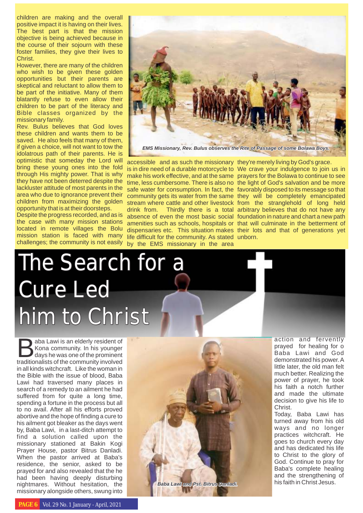children are making and the overall positive impact it is having on their lives. The best part is that the mission objective is being achieved because in the course of their sojourn with these foster families, they give their lives to Christ.

However, there are many of the children who wish to be given these golden opportunities but their parents are skeptical and reluctant to allow them to be part of the initiative. Many of them blatantly refuse to even allow their children to be part of the literacy and Bible classes organized by the missionary family.

Rev. Bulus believes that God loves these children and wants them to be saved. He also feels that many of them, if given a choice, will not want to tow the idolatrous path of their parents. He is optimistic that someday the Lord will bring these young ones into the fold through His mighty power. That is why they have not been deterred despite the lackluster attitude of most parents in the area who due to ignorance prevent their children from maximizing the golden opportunity that is at their doorsteps.

Despite the progress recorded, and as is the case with many mission stations located in remote villages the Bolu mission station is faced with many challenges; the community is not easily

# The Search for a Cure Led him to Christ

**aba Lawi is an elderly resident of**<br> **Kona community.** In his younger<br>
days he was one of the prominent<br>
traditionalists of the community involved traditionalists of the community involved in all kinds witchcraft. Like the woman in the Bible with the issue of blood, Baba Lawi had traversed many places in search of a remedy to an ailment he had suffered from for quite a long time, spending a fortune in the process but all to no avail. After all his efforts proved abortive and the hope of finding a cure to his ailment got bleaker as the days went by, Baba Lawi, in a last-ditch attempt to find a solution called upon the missionary stationed at Bakin Kogi Prayer House, pastor Bitrus Danladi. When the pastor arrived at Baba's residence, the senior, asked to be prayed for and also revealed that the he had been having deeply disturbing nightmares. Without hesitation, the missionary alongside others, swung into



is in dire need of a durable motorcycle to We crave your indulgence to join us in time, less cumbersome. There is also no the light of God's salvation and be more safe water for consumption. In fact, the favorably disposed to its message so that community gets its water from the same they will be completely emancipated stream where cattle and other livestock from the stranglehold of long held drink from. Thirdly there is a total arbitrary believes that do not have any absence of even the most basic social foundation in nature and chart a new path amenities such as schools, hospitals or that will culminate in the betterment of dispensaries etc. This situation makes their lots and that of generations yet life difficult for the community. As stated unborn. prayers for the Bolawa to continue to see

> action and fervently prayed for healing for o Baba Lawi and God demonstrated his power. A little later, the old man felt much better. Realizing the power of prayer, he took his faith a notch further and made the ultimate decision to give his life to Christ.

> Today, Baba Lawi has turned away from his old ways and no longer practices witchcraft. He goes to church every day and has dedicated his life to Christ to the glory of God. Continue to pray for Baba's complete healing and the strengthening of his faith in Christ Jesus.



accessible and as such the missionary they're merely living by God's grace.

make his work effective, and at the same

by the EMS missionary in the area

**PAGE 6** Vol. 29 No. 1 January - April, 2021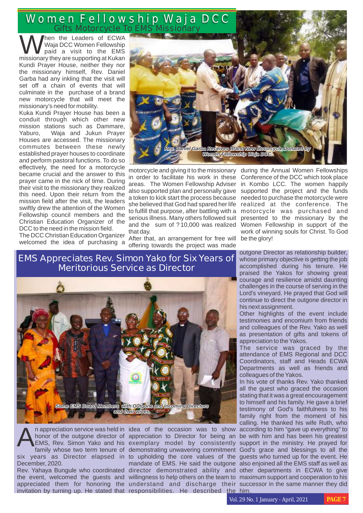Women Fellowship Waja DCC Gifts Motorcycle To EMS Missionary

hen the Leaders of ECWA<br>Waja DCC Women Fellowship paid a visit to the EMS missionary they are supporting at Kukan Kundi Prayer House, neither they nor the missionary himself, Rev. Daniel Garba had any inkling that the visit will set off a chain of events that will culminate in the purchase of a brand new motorcycle that will meet the missionary's need for mobility.

Kuka Kundi Prayer House has been a conduit through which other new mission stations such as Dammare, Yaburo, Waja and Jukun Prayer Houses are accessed. The missionary commutes between these newly established prayer houses to coordinate and perform pastoral functions. To do so effectively, the need for a motorcycle became crucial and the answer to this prayer came in the nick of time. During their visit to the missionary they realized this need. Upon their return from the mission field after the visit, the leaders swiftly drew the attention of the Women Fellowship council members and the Christian Education Organizer of the DCC to the need in the mission field.

The DCC Christian Education Organizer welcomed the idea of purchasing a



in order to facilitate his work in these areas. The Women Fellowship Adviser she believed that God had spared her life realized at the conference. The to fulfill that purpose, after battling with a motorcycle was purchased and serious illness. Many others followed suit and the sum of ?10,000 was realized that day.

After that, an arrangement for free will offering towards the project was made

motorcycle and giving it to the missionary during the Annual Women Fellowships also supported plan and personally gave supported the project and the funds a token to kick start the process because needed to purchase the motorcycle were Conference of the DCC which took place in Kombo LCC. The women happily presented to the missionary by the Women Fellowship in support of the work of winning souls for Christ. To God be the glory!

> outgone Director as relationship builder, whose primary objective is getting the job accomplished during his tenure. He praised the Yakos for showing great courage and resilience amidst daunting challenges in the course of serving in the Lord's vineyard. He prayed that God will continue to direct the outgone director in his next assignment.

> Other highlights of the event include testimonies and encomium from friends and colleagues of the Rev. Yako as well as presentation of gifts and tokens of appreciation to the Yakos.

> The service was graced by the attendance of EMS Regional and DCC Coordinators, staff and Heads ECWA Departments as well as friends and colleagues of the Yakos.

appreciation to Director for being an be with him and has been his greatest exemplary model by consistently support in the ministry. He prayed for mandate of EMS. He said the outgone also enjoined all the EMS staff as well as In his vote of thanks Rev. Yako thanked all the guest who graced the occasion stating that it was a great encouragement to himself and his family. He gave a brief testimony of God's faithfulness to his family right from the moment of his calling. He thanked his wife Ruth, who

#### **EMS Appreciates Rev. Simon Yako for Six Years of Meritorious Service as Director**



December, 2020.

invitation by turning up. He stated that responsibilities. He described the him.

n appreciation service was held in idea of the occasion was to show according to him "gave up everything" to honor of the outgone director of appreciation to Director for being an be with him and has been his greatest EMS, family whose two term tenure of demonstrating unwavering commitment God's grace and blessings to all the six years as Director elapsed in to upholding the core values of the guests who turned up for the event. He Rev. Yahaya Bungule who coordinated director demonstrated ability and other departments in ECWA to give the event, welcomed the guests and willingness to help others on the team to maximum support and cooperation to his appreciated them for honoring the understand and discharge their successor in the same manner they did